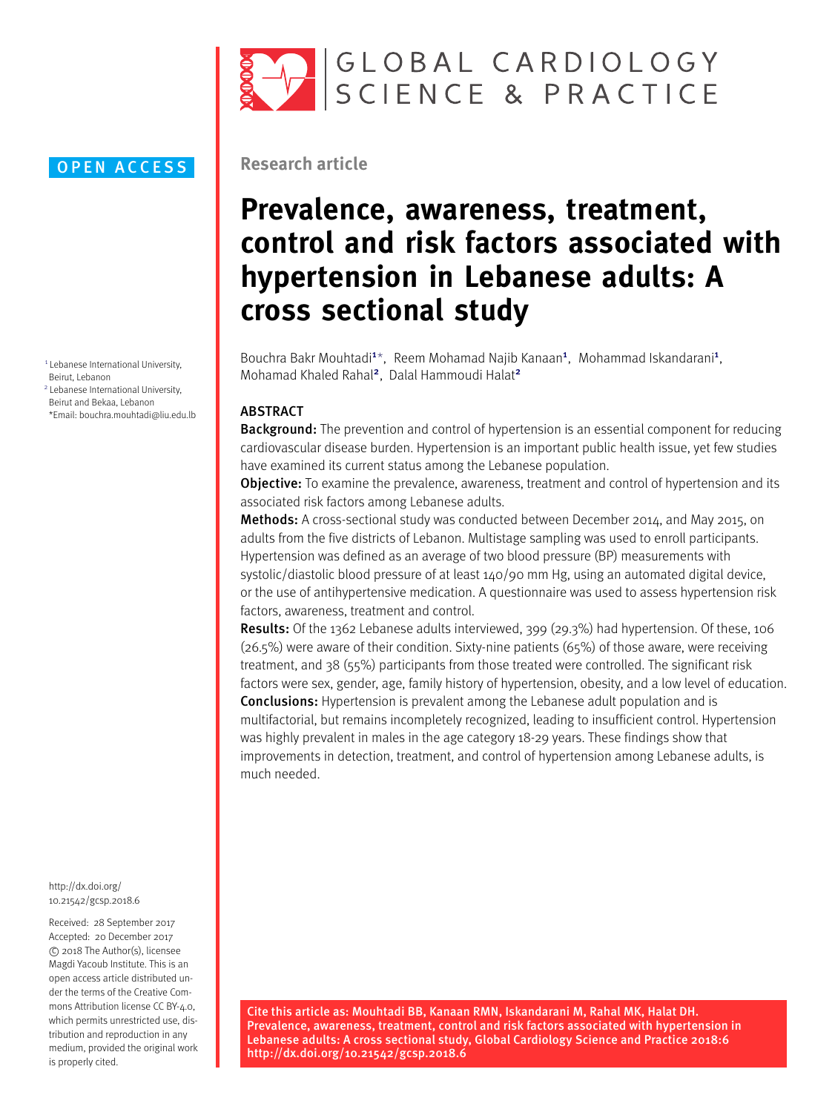

## **OPEN ACCESS**

<span id="page-0-0"></span>1 Lebanese International University, Beirut, Lebanon

<span id="page-0-2"></span>2 Lebanese International University, Beirut and Bekaa, Lebanon

<span id="page-0-1"></span>\*Email: [bouchra.mouhtadi@liu.edu.lb](mailto:bouchra.mouhtadi@liu.edu.lb)

[http://dx.doi.org/](http://dx.doi.org/10.21542/gcsp.2018.6) [10.21542/gcsp.2018.6](http://dx.doi.org/10.21542/gcsp.2018.6)

Received: 28 September 2017 Accepted: 20 December 2017 c 2018 The Author(s), licensee Magdi Yacoub Institute. This is an open access article distributed under the terms of the Creative Commons Attribution license CC BY-4.0. which permits unrestricted use, distribution and reproduction in any medium, provided the original work is properly cited.

# **Research article**

# **Prevalence, awareness, treatment, control and risk factors associated with hypertension in Lebanese adults: A cross sectional study**

Bouchra Bakr Mouhtadi<sup>[1](#page-0-0)\*</sup>, Reem Mohamad Najib Kanaan<sup>1</sup>, Mohammad Iskandarani<sup>1</sup>, Mohamad Khaled Rahal<sup>[2](#page-0-2)</sup>, Dalal Hammoudi Halat<sup>2</sup>

## ABSTRACT

**Background:** The prevention and control of hypertension is an essential component for reducing cardiovascular disease burden. Hypertension is an important public health issue, yet few studies have examined its current status among the Lebanese population.

**Objective:** To examine the prevalence, awareness, treatment and control of hypertension and its associated risk factors among Lebanese adults.

Methods: A cross-sectional study was conducted between December 2014, and May 2015, on adults from the five districts of Lebanon. Multistage sampling was used to enroll participants. Hypertension was defined as an average of two blood pressure (BP) measurements with systolic/diastolic blood pressure of at least 140/90 mm Hg, using an automated digital device, or the use of antihypertensive medication. A questionnaire was used to assess hypertension risk factors, awareness, treatment and control.

Results: Of the 1362 Lebanese adults interviewed, 399 (29.3%) had hypertension. Of these, 106 (26.5%) were aware of their condition. Sixty-nine patients (65%) of those aware, were receiving treatment, and 38 (55%) participants from those treated were controlled. The significant risk factors were sex, gender, age, family history of hypertension, obesity, and a low level of education. Conclusions: Hypertension is prevalent among the Lebanese adult population and is multifactorial, but remains incompletely recognized, leading to insufficient control. Hypertension was highly prevalent in males in the age category 18-29 years. These findings show that improvements in detection, treatment, and control of hypertension among Lebanese adults, is much needed.

Cite this article as: Mouhtadi BB, Kanaan RMN, Iskandarani M, Rahal MK, Halat DH. Prevalence, awareness, treatment, control and risk factors associated with hypertension in Lebanese adults: A cross sectional study, Global Cardiology Science and Practice 2018:6 http://dx.doi.org/10.21542/gcsp.2018.6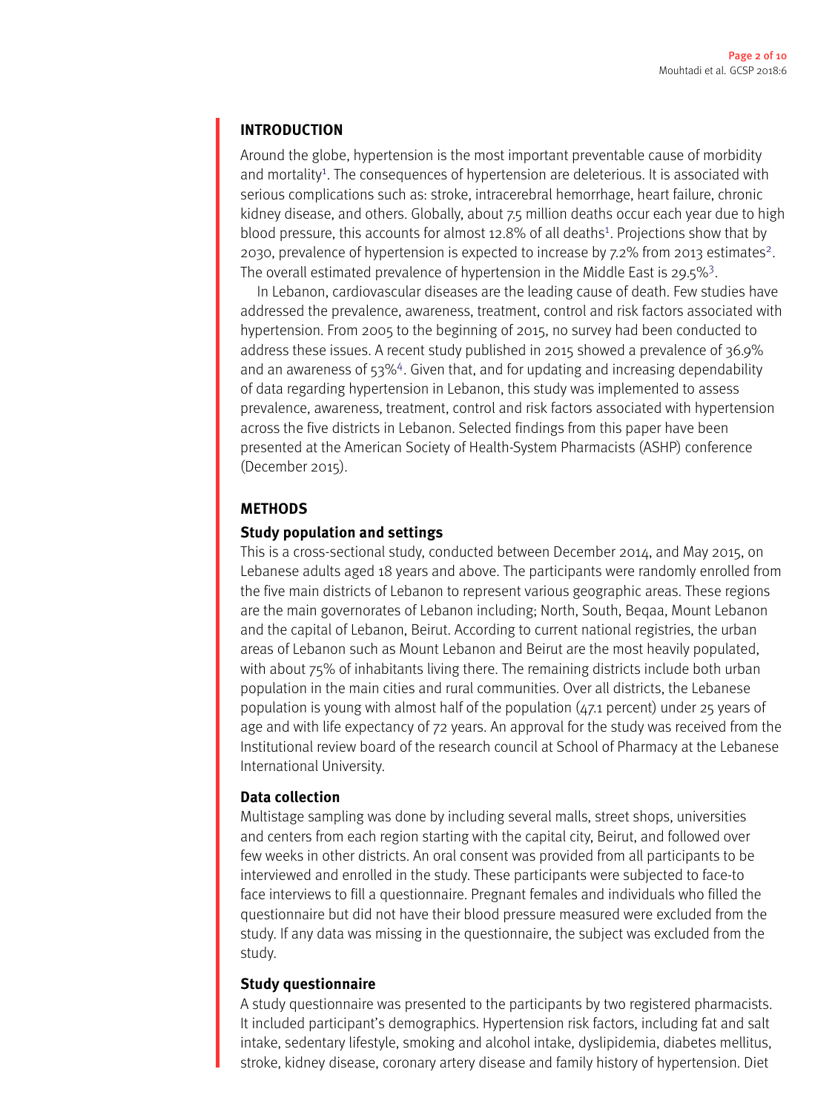# **INTRODUCTION**

Around the globe, hypertension is the most important preventable cause of morbidity and mortality<sup>[1](#page-8-0)</sup>. The consequences of hypertension are deleterious. It is associated with serious complications such as: stroke, intracerebral hemorrhage, heart failure, chronic kidney disease, and others. Globally, about 7.5 million deaths occur each year due to high blood pressure, this accounts for almost [1](#page-8-0)2.8% of all deaths<sup>1</sup>. Projections show that by [2](#page-8-1)030, prevalence of hypertension is expected to increase by 7.2% from 2013 estimates<sup>2</sup>. The overall estimated prevalence of hypertension in the Middle East is 29.5%<sup>[3](#page-8-2)</sup>.

In Lebanon, cardiovascular diseases are the leading cause of death. Few studies have addressed the prevalence, awareness, treatment, control and risk factors associated with hypertension. From 2005 to the beginning of 2015, no survey had been conducted to address these issues. A recent study published in 2015 showed a prevalence of 36.9% and an awareness of 53%<sup>[4](#page-8-3)</sup>. Given that, and for updating and increasing dependability of data regarding hypertension in Lebanon, this study was implemented to assess prevalence, awareness, treatment, control and risk factors associated with hypertension across the five districts in Lebanon. Selected findings from this paper have been presented at the American Society of Health-System Pharmacists (ASHP) conference (December 2015).

# **METHODS**

# **Study population and settings**

This is a cross-sectional study, conducted between December 2014, and May 2015, on Lebanese adults aged 18 years and above. The participants were randomly enrolled from the five main districts of Lebanon to represent various geographic areas. These regions are the main governorates of Lebanon including; North, South, Beqaa, Mount Lebanon and the capital of Lebanon, Beirut. According to current national registries, the urban areas of Lebanon such as Mount Lebanon and Beirut are the most heavily populated, with about 75% of inhabitants living there. The remaining districts include both urban population in the main cities and rural communities. Over all districts, the Lebanese population is young with almost half of the population (47.1 percent) under 25 years of age and with life expectancy of 72 years. An approval for the study was received from the Institutional review board of the research council at School of Pharmacy at the Lebanese International University.

# **Data collection**

Multistage sampling was done by including several malls, street shops, universities and centers from each region starting with the capital city, Beirut, and followed over few weeks in other districts. An oral consent was provided from all participants to be interviewed and enrolled in the study. These participants were subjected to face-to face interviews to fill a questionnaire. Pregnant females and individuals who filled the questionnaire but did not have their blood pressure measured were excluded from the study. If any data was missing in the questionnaire, the subject was excluded from the study.

# **Study questionnaire**

A study questionnaire was presented to the participants by two registered pharmacists. It included participant's demographics. Hypertension risk factors, including fat and salt intake, sedentary lifestyle, smoking and alcohol intake, dyslipidemia, diabetes mellitus, stroke, kidney disease, coronary artery disease and family history of hypertension. Diet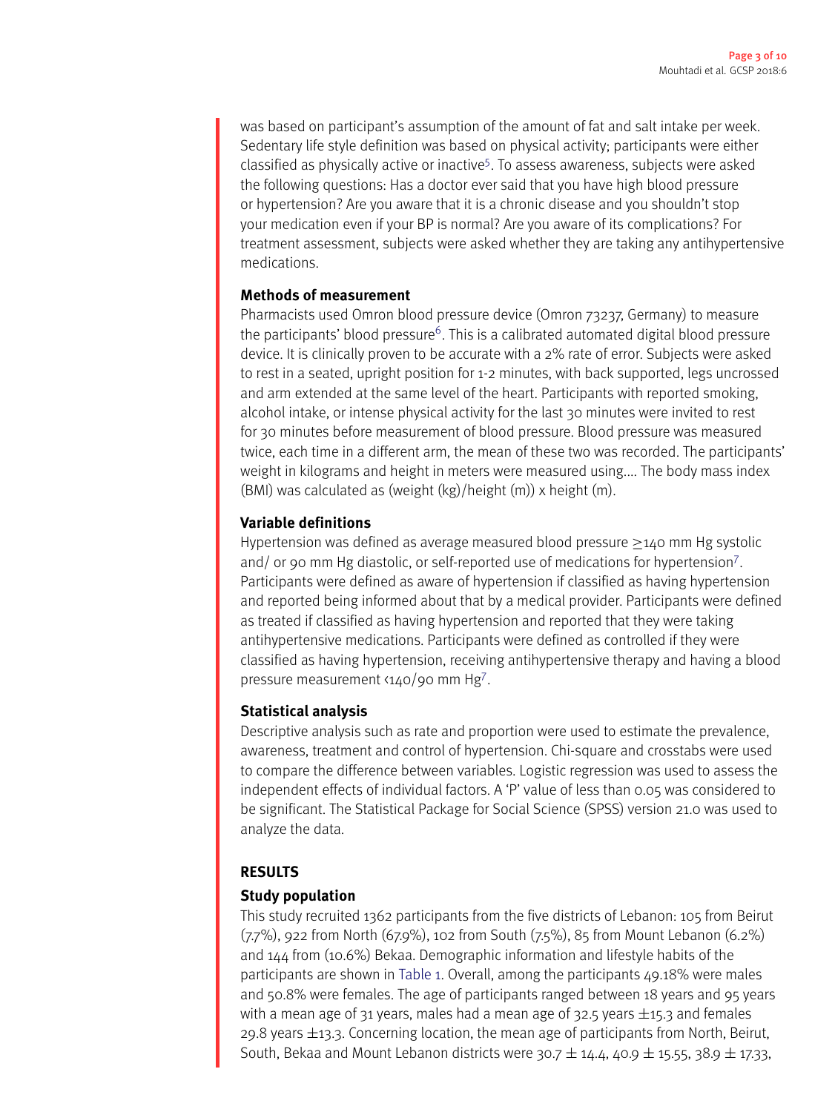was based on participant's assumption of the amount of fat and salt intake per week. Sedentary life style definition was based on physical activity; participants were either classified as physically active or inactive<sup>[5](#page-8-4)</sup>. To assess awareness, subjects were asked the following questions: Has a doctor ever said that you have high blood pressure or hypertension? Are you aware that it is a chronic disease and you shouldn't stop your medication even if your BP is normal? Are you aware of its complications? For treatment assessment, subjects were asked whether they are taking any antihypertensive medications.

# **Methods of measurement**

Pharmacists used Omron blood pressure device (Omron 73237, Germany) to measure the participants' blood pressure<sup>[6](#page-8-5)</sup>. This is a calibrated automated digital blood pressure device. It is clinically proven to be accurate with a 2% rate of error. Subjects were asked to rest in a seated, upright position for 1-2 minutes, with back supported, legs uncrossed and arm extended at the same level of the heart. Participants with reported smoking, alcohol intake, or intense physical activity for the last 30 minutes were invited to rest for 30 minutes before measurement of blood pressure. Blood pressure was measured twice, each time in a different arm, the mean of these two was recorded. The participants' weight in kilograms and height in meters were measured using.... The body mass index (BMI) was calculated as (weight (kg)/height (m)) x height (m).

# **Variable definitions**

Hypertension was defined as average measured blood pressure ≥140 mm Hg systolic and/ or 90 mm Hg diastolic, or self-reported use of medications for hypertension<sup>[7](#page-8-6)</sup>. Participants were defined as aware of hypertension if classified as having hypertension and reported being informed about that by a medical provider. Participants were defined as treated if classified as having hypertension and reported that they were taking antihypertensive medications. Participants were defined as controlled if they were classified as having hypertension, receiving antihypertensive therapy and having a blood pressure measurement <140/90 mm Hg[7](#page-8-6).

# **Statistical analysis**

Descriptive analysis such as rate and proportion were used to estimate the prevalence, awareness, treatment and control of hypertension. Chi-square and crosstabs were used to compare the difference between variables. Logistic regression was used to assess the independent effects of individual factors. A 'P' value of less than 0.05 was considered to be significant. The Statistical Package for Social Science (SPSS) version 21.0 was used to analyze the data.

# **RESULTS**

# **Study population**

This study recruited 1362 participants from the five districts of Lebanon: 105 from Beirut (7.7%), 922 from North (67.9%), 102 from South (7.5%), 85 from Mount Lebanon (6.2%) and 144 from (10.6%) Bekaa. Demographic information and lifestyle habits of the participants are shown in [Table](#page-3-0) [1.](#page-3-0) Overall, among the participants 49.18% were males and 50.8% were females. The age of participants ranged between 18 years and 95 years with a mean age of 31 years, males had a mean age of 32.5 years  $\pm$ 15.3 and females 29.8 years ±13.3. Concerning location, the mean age of participants from North, Beirut, South, Bekaa and Mount Lebanon districts were  $30.7 \pm 14.4$ , 40.9  $\pm$  15.55, 38.9  $\pm$  17.33,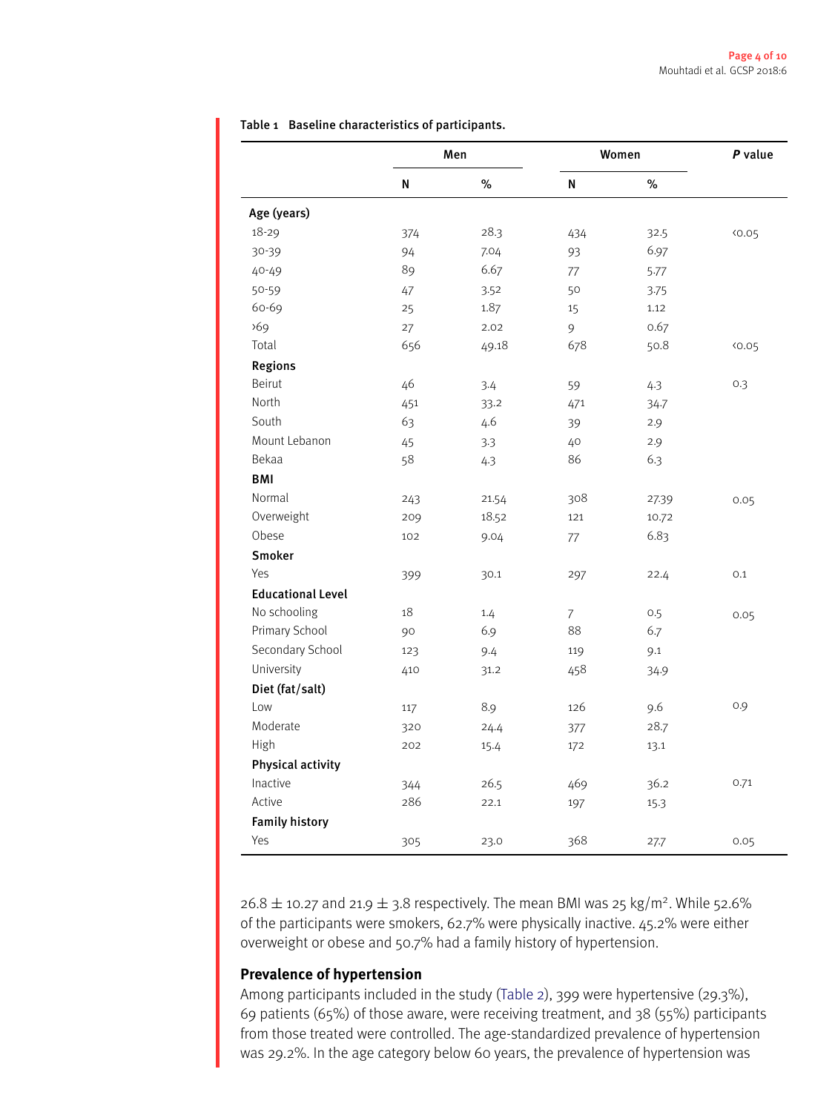|                          | Men |       | Women          | P value |       |
|--------------------------|-----|-------|----------------|---------|-------|
|                          | N   | $\%$  | N              | $\%$    |       |
| Age (years)              |     |       |                |         |       |
| 18-29                    | 374 | 28.3  | 434            | 32.5    | 40.05 |
| 30-39                    | 94  | 7.04  | 93             | 6.97    |       |
| 40-49                    | 89  | 6.67  | 77             | 5.77    |       |
| 50-59                    | 47  | 3.52  | 50             | 3.75    |       |
| 60-69                    | 25  | 1.87  | 15             | 1.12    |       |
| 569                      | 27  | 2.02  | 9              | 0.67    |       |
| Total                    | 656 | 49.18 | 678            | 50.8    | 40.05 |
| <b>Regions</b>           |     |       |                |         |       |
| <b>Beirut</b>            | 46  | 3.4   | 59             | 4.3     | 0.3   |
| North                    | 451 | 33.2  | 471            | 34.7    |       |
| South                    | 63  | 4.6   | 39             | 2.9     |       |
| Mount Lebanon            | 45  | 3.3   | 40             | 2.9     |       |
| Bekaa                    | 58  | 4.3   | 86             | 6.3     |       |
| BMI                      |     |       |                |         |       |
| Normal                   | 243 | 21.54 | 308            | 27.39   | 0.05  |
| Overweight               | 209 | 18.52 | 121            | 10.72   |       |
| Obese                    | 102 | 9.04  | 77             | 6.83    |       |
| <b>Smoker</b>            |     |       |                |         |       |
| Yes                      | 399 | 30.1  | 297            | 22.4    | 0.1   |
| <b>Educational Level</b> |     |       |                |         |       |
| No schooling             | 18  | 1.4   | $\overline{7}$ | 0.5     | 0.05  |
| Primary School           | 90  | 6.9   | 88             | 6.7     |       |
| Secondary School         | 123 | 9.4   | 119            | 9.1     |       |
| University               | 410 | 31.2  | 458            | 34.9    |       |
| Diet (fat/salt)          |     |       |                |         |       |
| Low                      | 117 | 8.9   | 126            | 9.6     | 0.9   |
| Moderate                 | 320 | 24.4  | 377            | 28.7    |       |
| High                     | 202 | 15.4  | 172            | 13.1    |       |
| <b>Physical activity</b> |     |       |                |         |       |
| Inactive                 | 344 | 26.5  | 469            | 36.2    | 0.71  |
| Active                   | 286 | 22.1  | 197            | 15.3    |       |
| <b>Family history</b>    |     |       |                |         |       |
| Yes                      | 305 | 23.0  | 368            | 27.7    | 0.05  |
|                          |     |       |                |         |       |

<span id="page-3-0"></span>Table 1 Baseline characteristics of participants.

 $26.8 \pm 10.27$  and  $21.9 \pm 3.8$  respectively. The mean BMI was 25 kg/m<sup>2</sup>. While 52.6% of the participants were smokers, 62.7% were physically inactive. 45.2% were either overweight or obese and 50.7% had a family history of hypertension.

# **Prevalence of hypertension**

Among participants included in the study [\(Table](#page-4-0) [2\)](#page-4-0), 399 were hypertensive (29.3%), 69 patients (65%) of those aware, were receiving treatment, and 38 (55%) participants from those treated were controlled. The age-standardized prevalence of hypertension was 29.2%. In the age category below 60 years, the prevalence of hypertension was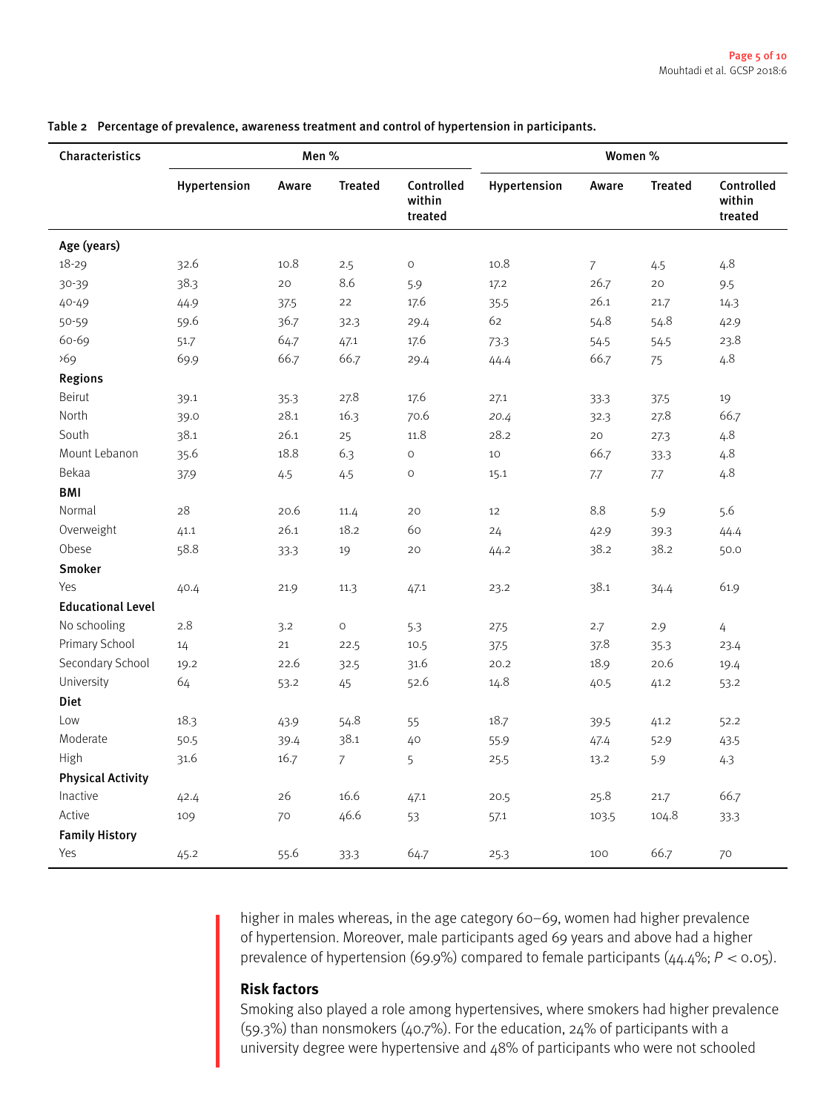| Characteristics          |              | Men%  |                |                                 | Women %      |                |                |                                 |
|--------------------------|--------------|-------|----------------|---------------------------------|--------------|----------------|----------------|---------------------------------|
|                          | Hypertension | Aware | <b>Treated</b> | Controlled<br>within<br>treated | Hypertension | Aware          | <b>Treated</b> | Controlled<br>within<br>treated |
| Age (years)              |              |       |                |                                 |              |                |                |                                 |
| 18-29                    | 32.6         | 10.8  | 2.5            | $\mathsf O$                     | 10.8         | $\overline{7}$ | 4.5            | 4.8                             |
| 30-39                    | 38.3         | 20    | 8.6            | 5.9                             | 17.2         | 26.7           | 20             | 9.5                             |
| 40-49                    | 44.9         | 37.5  | 22             | 17.6                            | 35.5         | 26.1           | 21.7           | 14.3                            |
| 50-59                    | 59.6         | 36.7  | 32.3           | 29.4                            | 62           | 54.8           | 54.8           | 42.9                            |
| 60-69                    | 51.7         | 64.7  | 47.1           | 17.6                            | 73.3         | 54.5           | 54.5           | 23.8                            |
| 569                      | 69.9         | 66.7  | 66.7           | 29.4                            | 44.4         | 66.7           | 75             | 4.8                             |
| <b>Regions</b>           |              |       |                |                                 |              |                |                |                                 |
| Beirut                   | 39.1         | 35.3  | 27.8           | 17.6                            | 27.1         | 33.3           | 37.5           | 19                              |
| North                    | 39.0         | 28.1  | 16.3           | 70.6                            | 20.4         | 32.3           | 27.8           | 66.7                            |
| South                    | 38.1         | 26.1  | 25             | 11.8                            | 28.2         | 20             | 27.3           | 4.8                             |
| Mount Lebanon            | 35.6         | 18.8  | 6.3            | $\circ$                         | 10           | 66.7           | 33.3           | 4.8                             |
| Bekaa                    | 37.9         | 4.5   | 4.5            | $\mathsf O$                     | 15.1         | 7.7            | 7.7            | 4.8                             |
| BMI                      |              |       |                |                                 |              |                |                |                                 |
| Normal                   | 28           | 20.6  | 11.4           | 20                              | 12           | 8.8            | 5.9            | 5.6                             |
| Overweight               | 41.1         | 26.1  | 18.2           | 60                              | 24           | 42.9           | 39.3           | 44.4                            |
| Obese                    | 58.8         | 33.3  | 19             | 20                              | 44.2         | 38.2           | 38.2           | 50.0                            |
| Smoker                   |              |       |                |                                 |              |                |                |                                 |
| Yes                      | 40.4         | 21.9  | 11.3           | 47.1                            | 23.2         | 38.1           | 34.4           | 61.9                            |
| <b>Educational Level</b> |              |       |                |                                 |              |                |                |                                 |
| No schooling             | 2.8          | 3.2   | $\circ$        | 5.3                             | 27.5         | 2.7            | 2.9            | 4                               |
| Primary School           | 14           | 21    | 22.5           | 10.5                            | 37.5         | 37.8           | 35.3           | 23.4                            |
| Secondary School         | 19.2         | 22.6  | 32.5           | 31.6                            | 20.2         | 18.9           | 20.6           | 19.4                            |
| University               | 64           | 53.2  | 45             | 52.6                            | 14.8         | 40.5           | 41.2           | 53.2                            |
| <b>Diet</b>              |              |       |                |                                 |              |                |                |                                 |
| Low                      | 18.3         | 43.9  | 54.8           | 55                              | 18.7         | 39.5           | 41.2           | 52.2                            |
| Moderate                 | 50.5         | 39.4  | 38.1           | 40                              | 55.9         | 47.4           | 52.9           | 43.5                            |
| High                     | 31.6         | 16.7  | $\overline{7}$ | 5                               | 25.5         | 13.2           | 5.9            | 4.3                             |
| <b>Physical Activity</b> |              |       |                |                                 |              |                |                |                                 |
| Inactive                 | 42.4         | 26    | 16.6           | 47.1                            | 20.5         | 25.8           | 21.7           | 66.7                            |
| Active                   | 109          | 70    | 46.6           | 53                              | 57.1         | 103.5          | 104.8          | 33.3                            |
| <b>Family History</b>    |              |       |                |                                 |              |                |                |                                 |
| Yes                      | 45.2         | 55.6  | 33.3           | 64.7                            | 25.3         | 100            | 66.7           | 70                              |

<span id="page-4-0"></span>Table 2 Percentage of prevalence, awareness treatment and control of hypertension in participants.

higher in males whereas, in the age category 60–69, women had higher prevalence of hypertension. Moreover, male participants aged 69 years and above had a higher prevalence of hypertension (69.9%) compared to female participants (44.4%; *P* < 0.05).

## **Risk factors**

Smoking also played a role among hypertensives, where smokers had higher prevalence (59.3%) than nonsmokers (40.7%). For the education, 24% of participants with a university degree were hypertensive and 48% of participants who were not schooled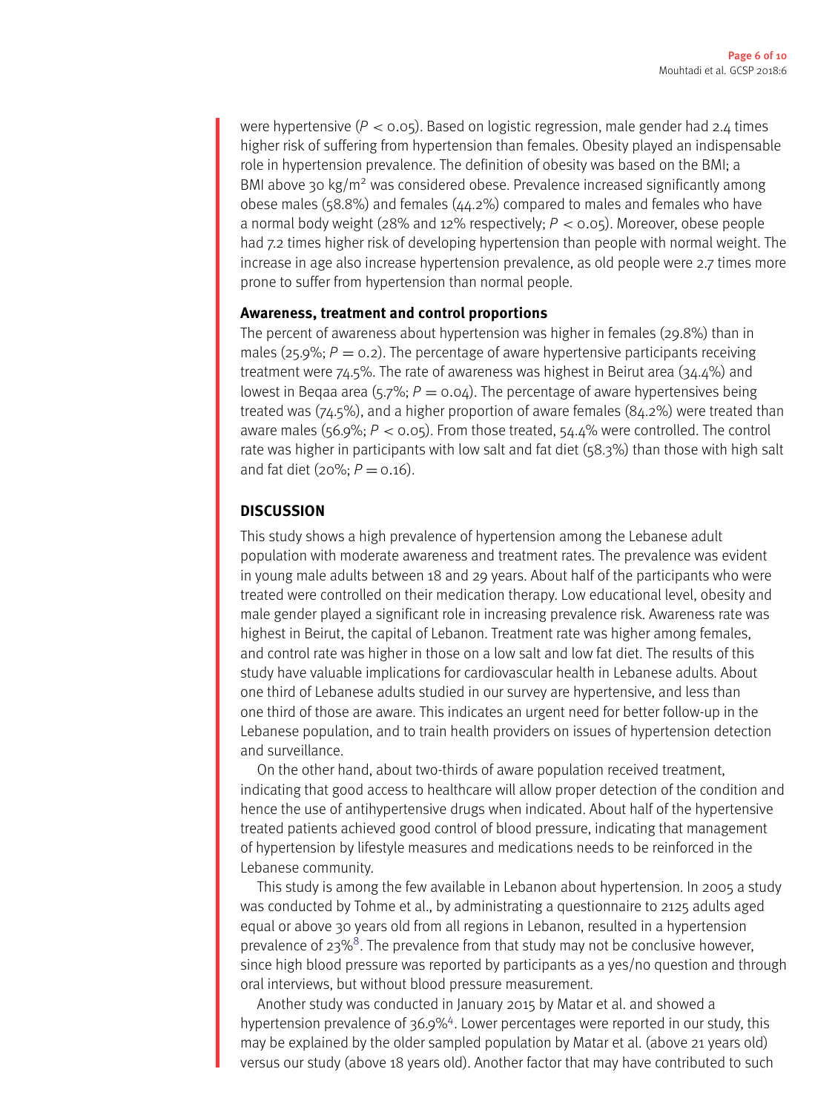were hypertensive (*P* < 0.05). Based on logistic regression, male gender had 2.4 times higher risk of suffering from hypertension than females. Obesity played an indispensable role in hypertension prevalence. The definition of obesity was based on the BMI; a BMI above 30 kg/m<sup>2</sup> was considered obese. Prevalence increased significantly among obese males (58.8%) and females (44.2%) compared to males and females who have a normal body weight (28% and 12% respectively; *P* < 0.05). Moreover, obese people had 7.2 times higher risk of developing hypertension than people with normal weight. The increase in age also increase hypertension prevalence, as old people were 2.7 times more prone to suffer from hypertension than normal people.

## **Awareness, treatment and control proportions**

The percent of awareness about hypertension was higher in females (29.8%) than in males (25.9%;  $P = 0.2$ ). The percentage of aware hypertensive participants receiving treatment were 74.5%. The rate of awareness was highest in Beirut area (34.4%) and lowest in Beqaa area (5.7%;  $P = 0.04$ ). The percentage of aware hypertensives being treated was (74.5%), and a higher proportion of aware females (84.2%) were treated than aware males (56.9%;  $P <$  0.05). From those treated, 54.4% were controlled. The control rate was higher in participants with low salt and fat diet (58.3%) than those with high salt and fat diet ( $20\%$ ;  $P = 0.16$ ).

## **DISCUSSION**

This study shows a high prevalence of hypertension among the Lebanese adult population with moderate awareness and treatment rates. The prevalence was evident in young male adults between 18 and 29 years. About half of the participants who were treated were controlled on their medication therapy. Low educational level, obesity and male gender played a significant role in increasing prevalence risk. Awareness rate was highest in Beirut, the capital of Lebanon. Treatment rate was higher among females, and control rate was higher in those on a low salt and low fat diet. The results of this study have valuable implications for cardiovascular health in Lebanese adults. About one third of Lebanese adults studied in our survey are hypertensive, and less than one third of those are aware. This indicates an urgent need for better follow-up in the Lebanese population, and to train health providers on issues of hypertension detection and surveillance.

On the other hand, about two-thirds of aware population received treatment, indicating that good access to healthcare will allow proper detection of the condition and hence the use of antihypertensive drugs when indicated. About half of the hypertensive treated patients achieved good control of blood pressure, indicating that management of hypertension by lifestyle measures and medications needs to be reinforced in the Lebanese community.

This study is among the few available in Lebanon about hypertension. In 2005 a study was conducted by Tohme et al., by administrating a questionnaire to 2125 adults aged equal or above 30 years old from all regions in Lebanon, resulted in a hypertension prevalence of  $23\%$ <sup>[8](#page-8-7)</sup>. The prevalence from that study may not be conclusive however, since high blood pressure was reported by participants as a yes/no question and through oral interviews, but without blood pressure measurement.

Another study was conducted in January 2015 by Matar et al. and showed a hypertension prevalence of 36.9%<sup>[4](#page-8-3)</sup>. Lower percentages were reported in our study, this may be explained by the older sampled population by Matar et al. (above 21 years old) versus our study (above 18 years old). Another factor that may have contributed to such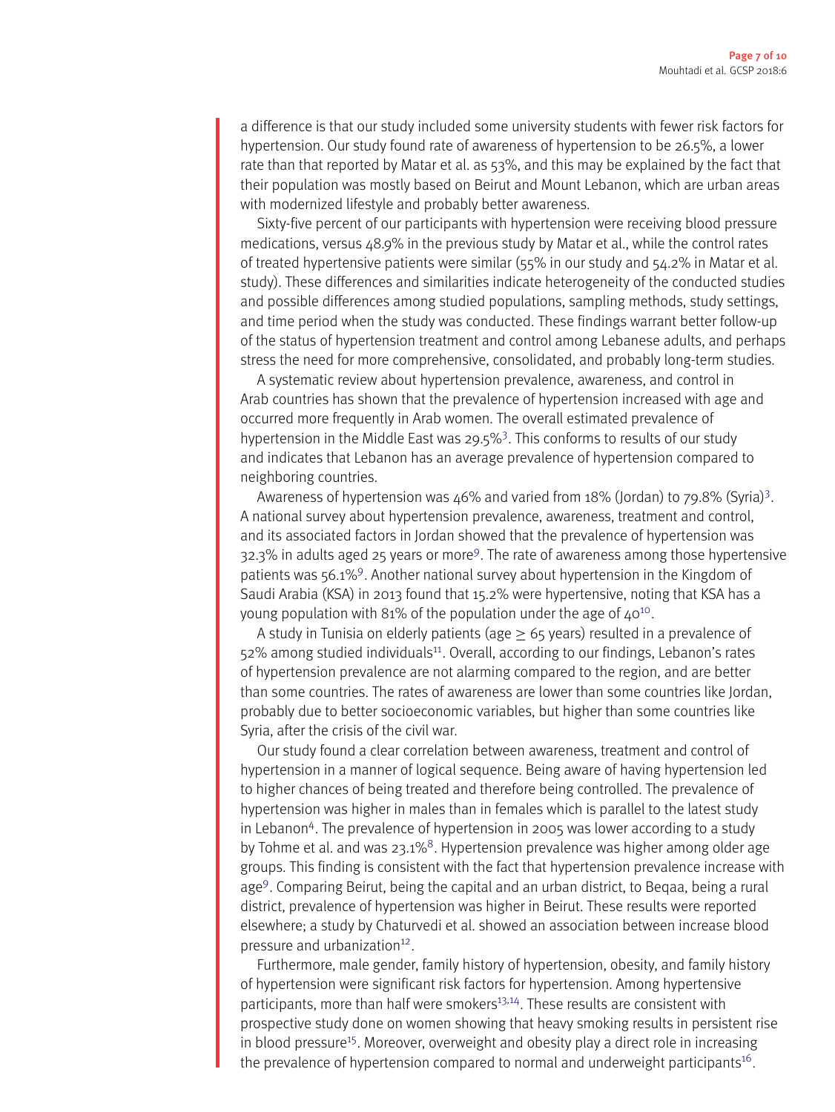a difference is that our study included some university students with fewer risk factors for hypertension. Our study found rate of awareness of hypertension to be 26.5%, a lower rate than that reported by Matar et al. as 53%, and this may be explained by the fact that their population was mostly based on Beirut and Mount Lebanon, which are urban areas with modernized lifestyle and probably better awareness.

Sixty-five percent of our participants with hypertension were receiving blood pressure medications, versus 48.9% in the previous study by Matar et al., while the control rates of treated hypertensive patients were similar (55% in our study and 54.2% in Matar et al. study). These differences and similarities indicate heterogeneity of the conducted studies and possible differences among studied populations, sampling methods, study settings, and time period when the study was conducted. These findings warrant better follow-up of the status of hypertension treatment and control among Lebanese adults, and perhaps stress the need for more comprehensive, consolidated, and probably long-term studies.

A systematic review about hypertension prevalence, awareness, and control in Arab countries has shown that the prevalence of hypertension increased with age and occurred more frequently in Arab women. The overall estimated prevalence of hypertension in the Middle East was 29.5%<sup>[3](#page-8-2)</sup>. This conforms to results of our study and indicates that Lebanon has an average prevalence of hypertension compared to neighboring countries.

Awareness of hypertension was 46% and varied from 18% (Jordan) to 79.8% (Syria)<sup>[3](#page-8-2)</sup>. A national survey about hypertension prevalence, awareness, treatment and control, and its associated factors in Jordan showed that the prevalence of hypertension was 32.3% in adults aged 25 years or more<sup>[9](#page-8-8)</sup>. The rate of awareness among those hypertensive patients was 56.1%<sup>[9](#page-8-8)</sup>. Another national survey about hypertension in the Kingdom of Saudi Arabia (KSA) in 2013 found that 15.2% were hypertensive, noting that KSA has a young population with 81% of the population under the age of  $40^{10}$  $40^{10}$  $40^{10}$ .

A study in Tunisia on elderly patients (age  $> 65$  years) resulted in a prevalence of 52% among studied individuals<sup>[11](#page-9-1)</sup>. Overall, according to our findings, Lebanon's rates of hypertension prevalence are not alarming compared to the region, and are better than some countries. The rates of awareness are lower than some countries like Jordan, probably due to better socioeconomic variables, but higher than some countries like Syria, after the crisis of the civil war.

Our study found a clear correlation between awareness, treatment and control of hypertension in a manner of logical sequence. Being aware of having hypertension led to higher chances of being treated and therefore being controlled. The prevalence of hypertension was higher in males than in females which is parallel to the latest study in Lebanon<sup>[4](#page-8-3)</sup>. The prevalence of hypertension in 2005 was lower according to a study by Tohme et al. and was 23.1%<sup>[8](#page-8-7)</sup>. Hypertension prevalence was higher among older age groups. This finding is consistent with the fact that hypertension prevalence increase with age[9](#page-8-8) . Comparing Beirut, being the capital and an urban district, to Beqaa, being a rural district, prevalence of hypertension was higher in Beirut. These results were reported elsewhere; a study by Chaturvedi et al. showed an association between increase blood pressure and urbanization<sup>[12](#page-9-2)</sup>.

Furthermore, male gender, family history of hypertension, obesity, and family history of hypertension were significant risk factors for hypertension. Among hypertensive participants, more than half were smokers<sup>[13](#page-9-3)[,14](#page-9-4)</sup>. These results are consistent with prospective study done on women showing that heavy smoking results in persistent rise in blood pressure<sup>[15](#page-9-5)</sup>. Moreover, overweight and obesity play a direct role in increasing the prevalence of hypertension compared to normal and underweight participants<sup>[16](#page-9-6)</sup>.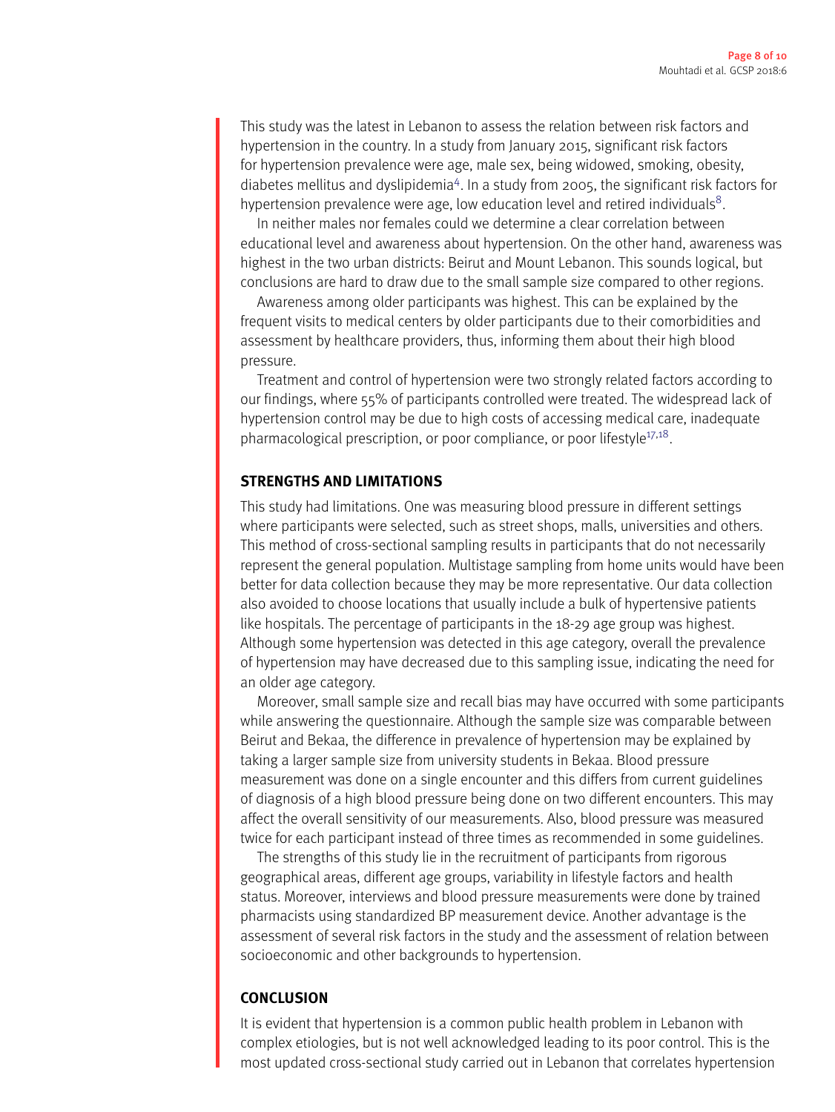This study was the latest in Lebanon to assess the relation between risk factors and hypertension in the country. In a study from January 2015, significant risk factors for hypertension prevalence were age, male sex, being widowed, smoking, obesity, diabetes mellitus and dyslipidemia<sup>[4](#page-8-3)</sup>. In a study from 2005, the significant risk factors for hypertension prevalence were age, low education level and retired individuals<sup>[8](#page-8-7)</sup>.

In neither males nor females could we determine a clear correlation between educational level and awareness about hypertension. On the other hand, awareness was highest in the two urban districts: Beirut and Mount Lebanon. This sounds logical, but conclusions are hard to draw due to the small sample size compared to other regions.

Awareness among older participants was highest. This can be explained by the frequent visits to medical centers by older participants due to their comorbidities and assessment by healthcare providers, thus, informing them about their high blood pressure.

Treatment and control of hypertension were two strongly related factors according to our findings, where 55% of participants controlled were treated. The widespread lack of hypertension control may be due to high costs of accessing medical care, inadequate pharmacological prescription, or poor compliance, or poor lifestyle<sup>[17,](#page-9-7)[18](#page-9-8)</sup>.

#### **STRENGTHS AND LIMITATIONS**

This study had limitations. One was measuring blood pressure in different settings where participants were selected, such as street shops, malls, universities and others. This method of cross-sectional sampling results in participants that do not necessarily represent the general population. Multistage sampling from home units would have been better for data collection because they may be more representative. Our data collection also avoided to choose locations that usually include a bulk of hypertensive patients like hospitals. The percentage of participants in the 18-29 age group was highest. Although some hypertension was detected in this age category, overall the prevalence of hypertension may have decreased due to this sampling issue, indicating the need for an older age category.

Moreover, small sample size and recall bias may have occurred with some participants while answering the questionnaire. Although the sample size was comparable between Beirut and Bekaa, the difference in prevalence of hypertension may be explained by taking a larger sample size from university students in Bekaa. Blood pressure measurement was done on a single encounter and this differs from current guidelines of diagnosis of a high blood pressure being done on two different encounters. This may affect the overall sensitivity of our measurements. Also, blood pressure was measured twice for each participant instead of three times as recommended in some guidelines.

The strengths of this study lie in the recruitment of participants from rigorous geographical areas, different age groups, variability in lifestyle factors and health status. Moreover, interviews and blood pressure measurements were done by trained pharmacists using standardized BP measurement device. Another advantage is the assessment of several risk factors in the study and the assessment of relation between socioeconomic and other backgrounds to hypertension.

## **CONCLUSION**

It is evident that hypertension is a common public health problem in Lebanon with complex etiologies, but is not well acknowledged leading to its poor control. This is the most updated cross-sectional study carried out in Lebanon that correlates hypertension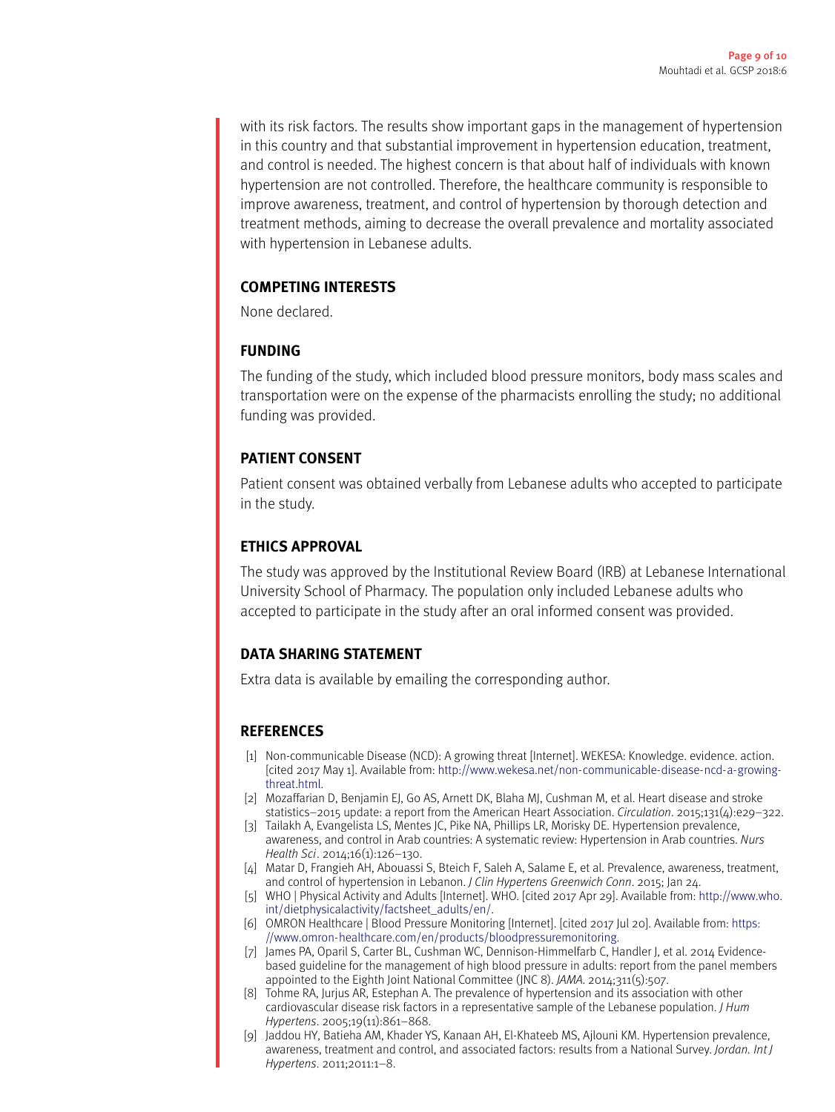with its risk factors. The results show important gaps in the management of hypertension in this country and that substantial improvement in hypertension education, treatment, and control is needed. The highest concern is that about half of individuals with known hypertension are not controlled. Therefore, the healthcare community is responsible to improve awareness, treatment, and control of hypertension by thorough detection and treatment methods, aiming to decrease the overall prevalence and mortality associated with hypertension in Lebanese adults.

# **COMPETING INTERESTS**

None declared.

# **FUNDING**

The funding of the study, which included blood pressure monitors, body mass scales and transportation were on the expense of the pharmacists enrolling the study; no additional funding was provided.

# **PATIENT CONSENT**

Patient consent was obtained verbally from Lebanese adults who accepted to participate in the study.

# **ETHICS APPROVAL**

The study was approved by the Institutional Review Board (IRB) at Lebanese International University School of Pharmacy. The population only included Lebanese adults who accepted to participate in the study after an oral informed consent was provided.

# **DATA SHARING STATEMENT**

Extra data is available by emailing the corresponding author.

## **REFERENCES**

- <span id="page-8-0"></span>[1] Non-communicable Disease (NCD): A growing threat [Internet]. WEKESA: Knowledge. evidence. action. [cited 2017 May 1]. Available from: [http://www.wekesa.net/non-communicable-disease-ncd-a-growing](http://www.wekesa.net/non-communicable-disease-ncd-a-growing-threat.html)[threat.html.](http://www.wekesa.net/non-communicable-disease-ncd-a-growing-threat.html)
- <span id="page-8-1"></span>[2] Mozaffarian D, Benjamin EJ, Go AS, Arnett DK, Blaha MJ, Cushman M, et al. Heart disease and stroke statistics–2015 update: a report from the American Heart Association. *Circulation*. 2015;131(4):e29–322.
- <span id="page-8-2"></span>[3] Tailakh A, Evangelista LS, Mentes JC, Pike NA, Phillips LR, Morisky DE. Hypertension prevalence, awareness, and control in Arab countries: A systematic review: Hypertension in Arab countries. *Nurs Health Sci*. 2014;16(1):126–130.
- <span id="page-8-3"></span>[4] Matar D, Frangieh AH, Abouassi S, Bteich F, Saleh A, Salame E, et al. Prevalence, awareness, treatment, and control of hypertension in Lebanon. *J Clin Hypertens Greenwich Conn*. 2015; Jan 24.
- <span id="page-8-4"></span>[5] WHO | Physical Activity and Adults [Internet]. WHO. [cited 2017 Apr 29]. Available from: [http://www.who.](http://www.who.int/dietphysicalactivity/factsheet_adults/en/) [int/dietphysicalactivity/factsheet\\_adults/en/.](http://www.who.int/dietphysicalactivity/factsheet_adults/en/)
- <span id="page-8-5"></span>[6] OMRON Healthcare | Blood Pressure Monitoring [Internet]. [cited 2017 Jul 20]. Available from: [https:](https://www.omron-healthcare.com/en/products/bloodpressuremonitoring) [//www.omron-healthcare.com/en/products/bloodpressuremonitoring.](https://www.omron-healthcare.com/en/products/bloodpressuremonitoring)
- <span id="page-8-6"></span>[7] James PA, Oparil S, Carter BL, Cushman WC, Dennison-Himmelfarb C, Handler J, et al. 2014 Evidencebased guideline for the management of high blood pressure in adults: report from the panel members appointed to the Eighth Joint National Committee (JNC 8). *JAMA*. 2014;311(5):507.
- <span id="page-8-7"></span>[8] Tohme RA, Jurjus AR, Estephan A. The prevalence of hypertension and its association with other cardiovascular disease risk factors in a representative sample of the Lebanese population. *J Hum Hypertens*. 2005;19(11):861–868.
- <span id="page-8-8"></span>[9] Jaddou HY, Batieha AM, Khader YS, Kanaan AH, El-Khateeb MS, Ajlouni KM. Hypertension prevalence, awareness, treatment and control, and associated factors: results from a National Survey. *Jordan. Int J Hypertens*. 2011;2011:1–8.